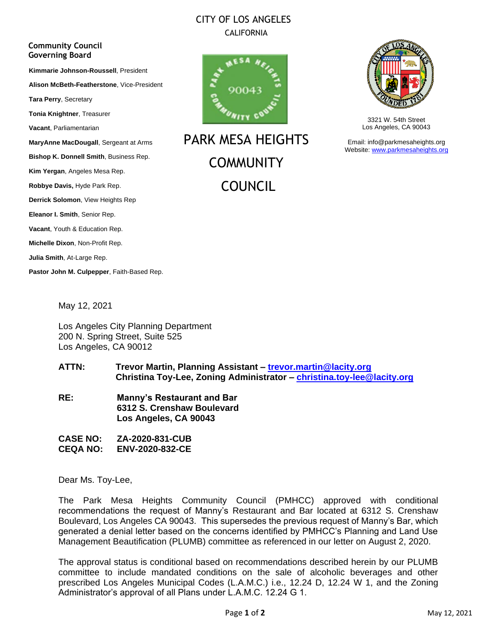# CITY OF LOS ANGELES CALIFORNIA

#### **Community Council Governing Board**

**Kimmarie Johnson-Roussell**, President

**Alison McBeth-Featherstone**, Vice-President

**Tara Perry**, Secretary

**Tonia Knightner**, Treasurer

**Vacant**, Parliamentarian

**MaryAnne MacDougall**, Sergeant at Arms

**Bishop K. Donnell Smith**, Business Rep.

**Kim Yergan**, Angeles Mesa Rep.

**Robbye Davis,** Hyde Park Rep.

**Derrick Solomon**, View Heights Rep

**Eleanor I. Smith**, Senior Rep.

**Vacant**, Youth & Education Rep.

**Michelle Dixon**, Non-Profit Rep.

**Julia Smith**, At-Large Rep.

**Pastor John M. Culpepper**, Faith-Based Rep.



PARK MESA HEIGHTS **COMMUNITY** COUNCIL



3321 W. 54th Street Los Angeles, CA 90043

Email: info@parkmesaheights.org Website: [www.parkmesaheights.org](http://www.parkmesaheights.org/)

May 12, 2021

Los Angeles City Planning Department 200 N. Spring Street, Suite 525 Los Angeles, CA 90012

## **ATTN: Trevor Martin, Planning Assistant – [trevor.martin@lacity.org](mailto:trevor.martin@lacity.org) Christina Toy-Lee, Zoning Administrator – [christina.toy-lee@lacity.org](mailto:christina.toy-lee@lacity.org)**

**RE: Manny's Restaurant and Bar 6312 S. Crenshaw Boulevard Los Angeles, CA 90043**

**CASE NO: ZA-2020-831-CUB CEQA NO: ENV-2020-832-CE**

Dear Ms. Toy-Lee,

The Park Mesa Heights Community Council (PMHCC) approved with conditional recommendations the request of Manny's Restaurant and Bar located at 6312 S. Crenshaw Boulevard, Los Angeles CA 90043. This supersedes the previous request of Manny's Bar, which generated a denial letter based on the concerns identified by PMHCC's Planning and Land Use Management Beautification (PLUMB) committee as referenced in our letter on August 2, 2020.

The approval status is conditional based on recommendations described herein by our PLUMB committee to include mandated conditions on the sale of alcoholic beverages and other prescribed Los Angeles Municipal Codes (L.A.M.C.) i.e., 12.24 D, 12.24 W 1, and the Zoning Administrator's approval of all Plans under L.A.M.C. 12.24 G 1.